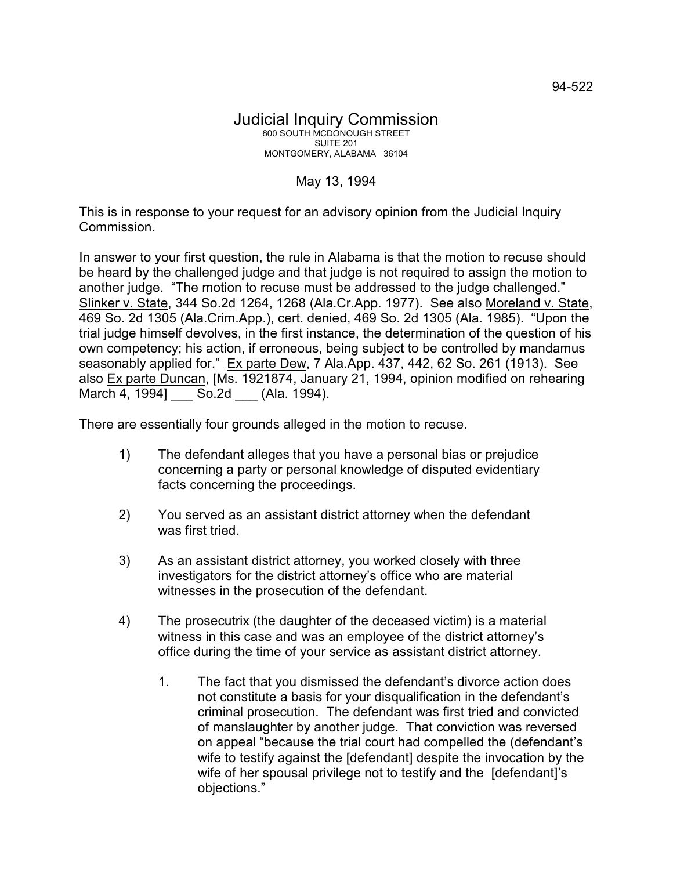## May 13, 1994

This is in response to your request for an advisory opinion from the Judicial Inquiry Commission.

In answer to your first question, the rule in Alabama is that the motion to recuse should be heard by the challenged judge and that judge is not required to assign the motion to another judge. "The motion to recuse must be addressed to the judge challenged." Slinker v. State, 344 So.2d 1264, 1268 (Ala.Cr.App. 1977). See also Moreland v. State, 469 So. 2d 1305 (Ala.Crim.App.), cert. denied, 469 So. 2d 1305 (Ala. 1985). "Upon the trial judge himself devolves, in the first instance, the determination of the question of his own competency; his action, if erroneous, being subject to be controlled by mandamus seasonably applied for." Ex parte Dew, 7 Ala.App. 437, 442, 62 So. 261 (1913). See also Ex parte Duncan, [Ms. 1921874, January 21, 1994, opinion modified on rehearing March 4, 1994] \_\_\_ So.2d \_\_\_ (Ala. 1994).

There are essentially four grounds alleged in the motion to recuse.

- 1) The defendant alleges that you have a personal bias or prejudice concerning a party or personal knowledge of disputed evidentiary facts concerning the proceedings.
- 2) You served as an assistant district attorney when the defendant was first tried.
- 3) As an assistant district attorney, you worked closely with three investigators for the district attorney's office who are material witnesses in the prosecution of the defendant.
- 4) The prosecutrix (the daughter of the deceased victim) is a material witness in this case and was an employee of the district attorney's office during the time of your service as assistant district attorney.
	- 1. The fact that you dismissed the defendant's divorce action does not constitute a basis for your disqualification in the defendant's criminal prosecution. The defendant was first tried and convicted of manslaughter by another judge. That conviction was reversed on appeal "because the trial court had compelled the (defendant's wife to testify against the [defendant] despite the invocation by the wife of her spousal privilege not to testify and the [defendant]'s objections."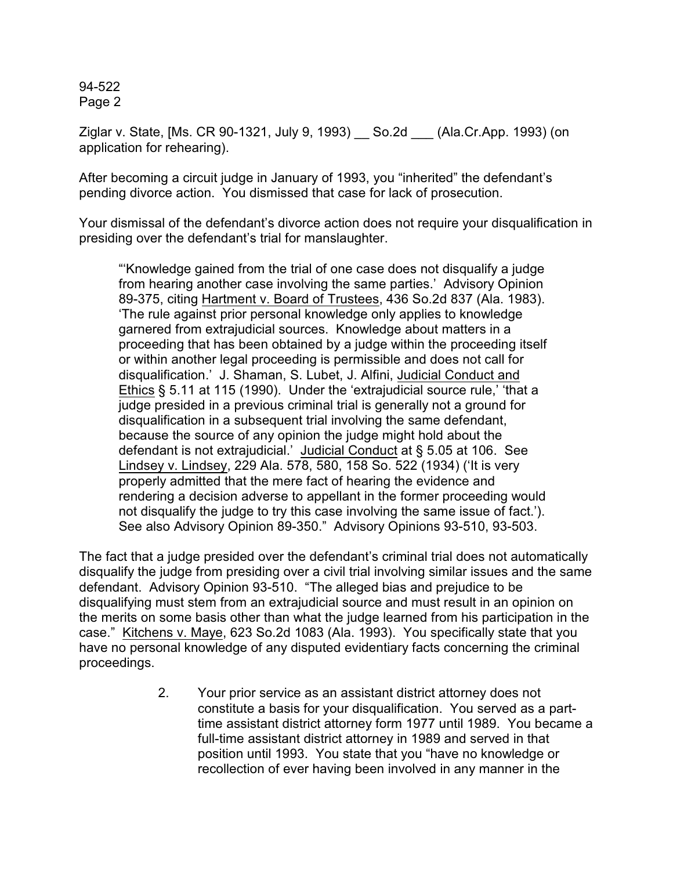94-522 Page 2

Ziglar v. State, [Ms. CR 90-1321, July 9, 1993) \_\_ So.2d \_\_\_ (Ala.Cr.App. 1993) (on application for rehearing).

After becoming a circuit judge in January of 1993, you "inherited" the defendant's pending divorce action. You dismissed that case for lack of prosecution.

Your dismissal of the defendant's divorce action does not require your disqualification in presiding over the defendant's trial for manslaughter.

"'Knowledge gained from the trial of one case does not disqualify a judge from hearing another case involving the same parties.' Advisory Opinion 89-375, citing Hartment v. Board of Trustees, 436 So.2d 837 (Ala. 1983). 'The rule against prior personal knowledge only applies to knowledge garnered from extrajudicial sources. Knowledge about matters in a proceeding that has been obtained by a judge within the proceeding itself or within another legal proceeding is permissible and does not call for disqualification.' J. Shaman, S. Lubet, J. Alfini, Judicial Conduct and Ethics § 5.11 at 115 (1990). Under the 'extrajudicial source rule,' 'that a judge presided in a previous criminal trial is generally not a ground for disqualification in a subsequent trial involving the same defendant, because the source of any opinion the judge might hold about the defendant is not extrajudicial.' Judicial Conduct at § 5.05 at 106. See Lindsey v. Lindsey, 229 Ala. 578, 580, 158 So. 522 (1934) ('It is very properly admitted that the mere fact of hearing the evidence and rendering a decision adverse to appellant in the former proceeding would not disqualify the judge to try this case involving the same issue of fact.'). See also Advisory Opinion 89-350." Advisory Opinions 93-510, 93-503.

The fact that a judge presided over the defendant's criminal trial does not automatically disqualify the judge from presiding over a civil trial involving similar issues and the same defendant. Advisory Opinion 93-510. "The alleged bias and prejudice to be disqualifying must stem from an extrajudicial source and must result in an opinion on the merits on some basis other than what the judge learned from his participation in the case." Kitchens v. Maye, 623 So.2d 1083 (Ala. 1993). You specifically state that you have no personal knowledge of any disputed evidentiary facts concerning the criminal proceedings.

> 2. Your prior service as an assistant district attorney does not constitute a basis for your disqualification. You served as a parttime assistant district attorney form 1977 until 1989. You became a full-time assistant district attorney in 1989 and served in that position until 1993. You state that you "have no knowledge or recollection of ever having been involved in any manner in the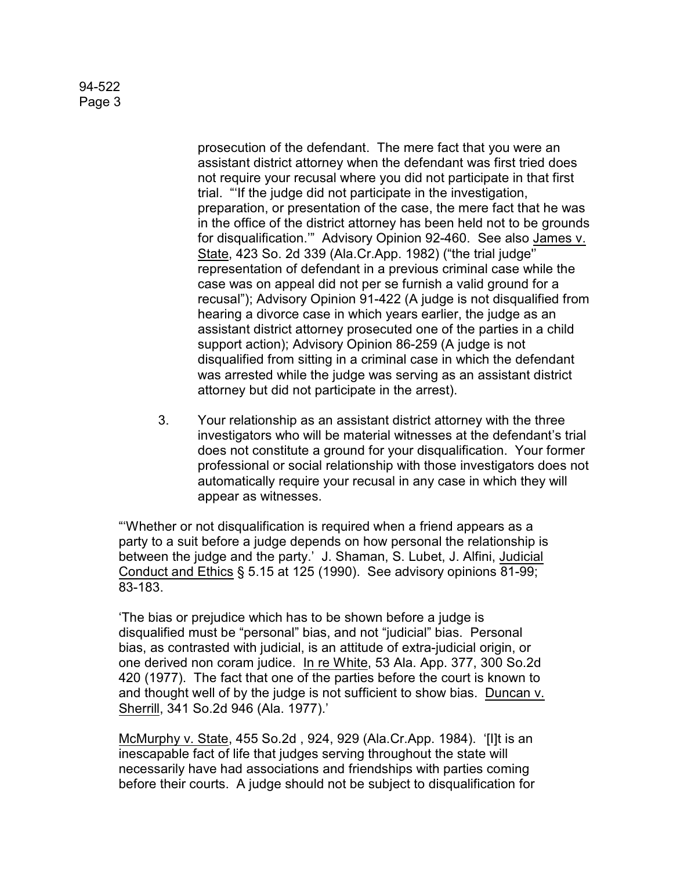## 94-522 Page 3

prosecution of the defendant. The mere fact that you were an assistant district attorney when the defendant was first tried does not require your recusal where you did not participate in that first trial. "'If the judge did not participate in the investigation, preparation, or presentation of the case, the mere fact that he was in the office of the district attorney has been held not to be grounds for disqualification.'" Advisory Opinion 92-460. See also James v. State, 423 So. 2d 339 (Ala.Cr.App. 1982) ("the trial judge'' representation of defendant in a previous criminal case while the case was on appeal did not per se furnish a valid ground for a recusal"); Advisory Opinion 91-422 (A judge is not disqualified from hearing a divorce case in which years earlier, the judge as an assistant district attorney prosecuted one of the parties in a child support action); Advisory Opinion 86-259 (A judge is not disqualified from sitting in a criminal case in which the defendant was arrested while the judge was serving as an assistant district attorney but did not participate in the arrest).

3. Your relationship as an assistant district attorney with the three investigators who will be material witnesses at the defendant's trial does not constitute a ground for your disqualification. Your former professional or social relationship with those investigators does not automatically require your recusal in any case in which they will appear as witnesses.

"'Whether or not disqualification is required when a friend appears as a party to a suit before a judge depends on how personal the relationship is between the judge and the party.' J. Shaman, S. Lubet, J. Alfini, Judicial Conduct and Ethics § 5.15 at 125 (1990). See advisory opinions 81-99; 83-183.

'The bias or prejudice which has to be shown before a judge is disqualified must be "personal" bias, and not "judicial" bias. Personal bias, as contrasted with judicial, is an attitude of extra-judicial origin, or one derived non coram judice. In re White, 53 Ala. App. 377, 300 So.2d 420 (1977). The fact that one of the parties before the court is known to and thought well of by the judge is not sufficient to show bias. Duncan v. Sherrill, 341 So.2d 946 (Ala. 1977).'

McMurphy v. State, 455 So.2d , 924, 929 (Ala.Cr.App. 1984). '[I]t is an inescapable fact of life that judges serving throughout the state will necessarily have had associations and friendships with parties coming before their courts. A judge should not be subject to disqualification for